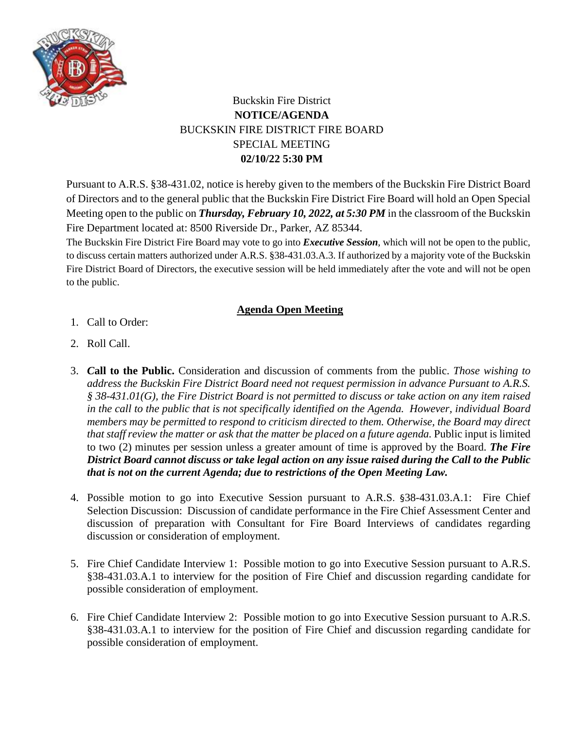

## Buckskin Fire District **NOTICE/AGENDA** BUCKSKIN FIRE DISTRICT FIRE BOARD SPECIAL MEETING **02/10/22 5:30 PM**

Pursuant to A.R.S. §38-431.02, notice is hereby given to the members of the Buckskin Fire District Board of Directors and to the general public that the Buckskin Fire District Fire Board will hold an Open Special Meeting open to the public on *Thursday, February 10, 2022, at 5:30 PM* in the classroom of the Buckskin Fire Department located at: 8500 Riverside Dr., Parker, AZ 85344.

The Buckskin Fire District Fire Board may vote to go into *Executive Session*, which will not be open to the public, to discuss certain matters authorized under A.R.S. §38-431.03.A.3. If authorized by a majority vote of the Buckskin Fire District Board of Directors, the executive session will be held immediately after the vote and will not be open to the public.

## **Agenda Open Meeting**

- 1. Call to Order:
- 2. Roll Call.
- 3. *C***all to the Public.** Consideration and discussion of comments from the public. *Those wishing to address the Buckskin Fire District Board need not request permission in advance Pursuant to A.R.S. § 38-431.01(G), the Fire District Board is not permitted to discuss or take action on any item raised in the call to the public that is not specifically identified on the Agenda. However, individual Board members may be permitted to respond to criticism directed to them. Otherwise, the Board may direct that staff review the matter or ask that the matter be placed on a future agenda. Public input is limited* to two (2) minutes per session unless a greater amount of time is approved by the Board. *The Fire District Board cannot discuss or take legal action on any issue raised during the Call to the Public that is not on the current Agenda; due to restrictions of the Open Meeting Law.*
- 4. Possible motion to go into Executive Session pursuant to A.R.S. §38-431.03.A.1: Fire Chief Selection Discussion: Discussion of candidate performance in the Fire Chief Assessment Center and discussion of preparation with Consultant for Fire Board Interviews of candidates regarding discussion or consideration of employment.
- 5. Fire Chief Candidate Interview 1: Possible motion to go into Executive Session pursuant to A.R.S. §38-431.03.A.1 to interview for the position of Fire Chief and discussion regarding candidate for possible consideration of employment.
- 6. Fire Chief Candidate Interview 2: Possible motion to go into Executive Session pursuant to A.R.S. §38-431.03.A.1 to interview for the position of Fire Chief and discussion regarding candidate for possible consideration of employment.